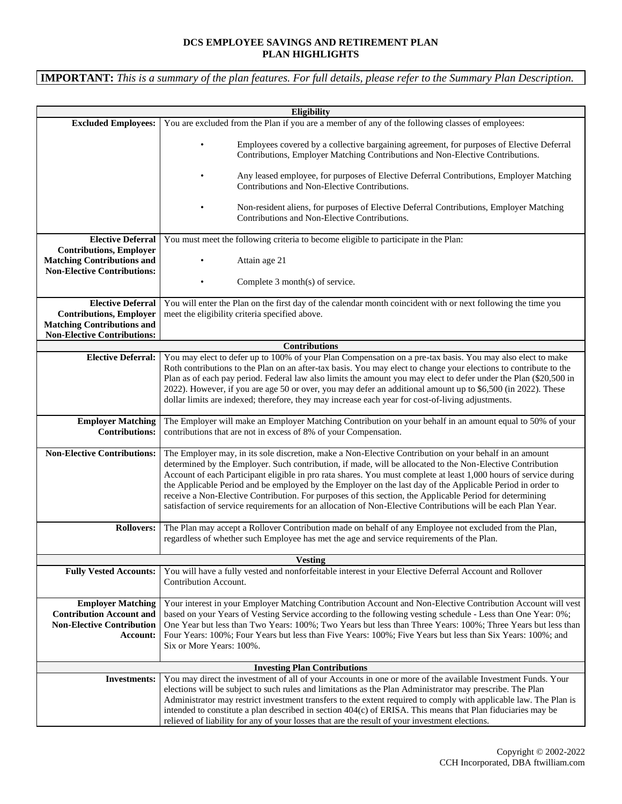## **DCS EMPLOYEE SAVINGS AND RETIREMENT PLAN PLAN HIGHLIGHTS**

**IMPORTANT:** *This is a summary of the plan features. For full details, please refer to the Summary Plan Description.*

| Eligibility                                                                                               |                                                                                                                                                                                                                                  |
|-----------------------------------------------------------------------------------------------------------|----------------------------------------------------------------------------------------------------------------------------------------------------------------------------------------------------------------------------------|
| <b>Excluded Employees:</b>                                                                                | You are excluded from the Plan if you are a member of any of the following classes of employees:                                                                                                                                 |
|                                                                                                           | Employees covered by a collective bargaining agreement, for purposes of Elective Deferral<br>Contributions, Employer Matching Contributions and Non-Elective Contributions.                                                      |
|                                                                                                           | Any leased employee, for purposes of Elective Deferral Contributions, Employer Matching<br>Contributions and Non-Elective Contributions.                                                                                         |
|                                                                                                           | Non-resident aliens, for purposes of Elective Deferral Contributions, Employer Matching<br>Contributions and Non-Elective Contributions.                                                                                         |
| <b>Elective Deferral</b>                                                                                  | You must meet the following criteria to become eligible to participate in the Plan:                                                                                                                                              |
| <b>Contributions, Employer</b><br><b>Matching Contributions and</b><br><b>Non-Elective Contributions:</b> | Attain age 21                                                                                                                                                                                                                    |
|                                                                                                           | Complete 3 month(s) of service.                                                                                                                                                                                                  |
| <b>Elective Deferral</b>                                                                                  | You will enter the Plan on the first day of the calendar month coincident with or next following the time you                                                                                                                    |
| <b>Contributions, Employer</b>                                                                            | meet the eligibility criteria specified above.                                                                                                                                                                                   |
| <b>Matching Contributions and</b><br><b>Non-Elective Contributions:</b>                                   |                                                                                                                                                                                                                                  |
|                                                                                                           | <b>Contributions</b>                                                                                                                                                                                                             |
| <b>Elective Deferral:</b>                                                                                 | You may elect to defer up to 100% of your Plan Compensation on a pre-tax basis. You may also elect to make                                                                                                                       |
|                                                                                                           | Roth contributions to the Plan on an after-tax basis. You may elect to change your elections to contribute to the                                                                                                                |
|                                                                                                           | Plan as of each pay period. Federal law also limits the amount you may elect to defer under the Plan (\$20,500 in                                                                                                                |
|                                                                                                           | 2022). However, if you are age 50 or over, you may defer an additional amount up to \$6,500 (in 2022). These                                                                                                                     |
|                                                                                                           | dollar limits are indexed; therefore, they may increase each year for cost-of-living adjustments.                                                                                                                                |
| <b>Employer Matching</b><br><b>Contributions:</b>                                                         | The Employer will make an Employer Matching Contribution on your behalf in an amount equal to 50% of your<br>contributions that are not in excess of 8% of your Compensation.                                                    |
| <b>Non-Elective Contributions:</b>                                                                        | The Employer may, in its sole discretion, make a Non-Elective Contribution on your behalf in an amount                                                                                                                           |
|                                                                                                           | determined by the Employer. Such contribution, if made, will be allocated to the Non-Elective Contribution                                                                                                                       |
|                                                                                                           | Account of each Participant eligible in pro rata shares. You must complete at least 1,000 hours of service during                                                                                                                |
|                                                                                                           |                                                                                                                                                                                                                                  |
|                                                                                                           | the Applicable Period and be employed by the Employer on the last day of the Applicable Period in order to                                                                                                                       |
|                                                                                                           | receive a Non-Elective Contribution. For purposes of this section, the Applicable Period for determining                                                                                                                         |
|                                                                                                           | satisfaction of service requirements for an allocation of Non-Elective Contributions will be each Plan Year.                                                                                                                     |
| <b>Rollovers:</b>                                                                                         | The Plan may accept a Rollover Contribution made on behalf of any Employee not excluded from the Plan,<br>regardless of whether such Employee has met the age and service requirements of the Plan.                              |
|                                                                                                           |                                                                                                                                                                                                                                  |
|                                                                                                           | <b>Vesting</b>                                                                                                                                                                                                                   |
| <b>Fully Vested Accounts:</b>                                                                             | You will have a fully vested and nonforfeitable interest in your Elective Deferral Account and Rollover<br>Contribution Account.                                                                                                 |
|                                                                                                           |                                                                                                                                                                                                                                  |
| <b>Employer Matching</b><br><b>Contribution Account and</b>                                               | Your interest in your Employer Matching Contribution Account and Non-Elective Contribution Account will vest<br>based on your Years of Vesting Service according to the following vesting schedule - Less than One Year: 0%;     |
| <b>Non-Elective Contribution</b>                                                                          | One Year but less than Two Years: 100%; Two Years but less than Three Years: 100%; Three Years but less than                                                                                                                     |
| Account:                                                                                                  | Four Years: 100%; Four Years but less than Five Years: 100%; Five Years but less than Six Years: 100%; and                                                                                                                       |
|                                                                                                           | Six or More Years: 100%.                                                                                                                                                                                                         |
|                                                                                                           |                                                                                                                                                                                                                                  |
| <b>Investments:</b>                                                                                       | <b>Investing Plan Contributions</b><br>You may direct the investment of all of your Accounts in one or more of the available Investment Funds. Your                                                                              |
|                                                                                                           | elections will be subject to such rules and limitations as the Plan Administrator may prescribe. The Plan                                                                                                                        |
|                                                                                                           | Administrator may restrict investment transfers to the extent required to comply with applicable law. The Plan is<br>intended to constitute a plan described in section 404(c) of ERISA. This means that Plan fiduciaries may be |